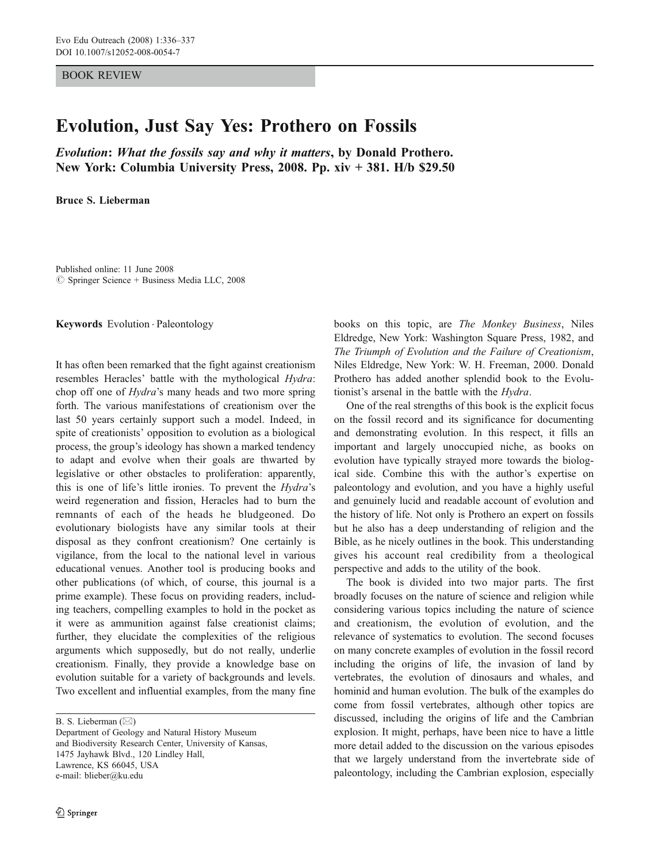## BOOK REVIEW

## Evolution, Just Say Yes: Prothero on Fossils

Evolution: What the fossils say and why it matters, by Donald Prothero. New York: Columbia University Press, 2008. Pp. xiv + 381. H/b \$29.50

Bruce S. Lieberman

Published online: 11 June 2008  $\circ$  Springer Science + Business Media LLC, 2008

Keywords Evolution . Paleontology

It has often been remarked that the fight against creationism resembles Heracles' battle with the mythological Hydra: chop off one of Hydra's many heads and two more spring forth. The various manifestations of creationism over the last 50 years certainly support such a model. Indeed, in spite of creationists' opposition to evolution as a biological process, the group's ideology has shown a marked tendency to adapt and evolve when their goals are thwarted by legislative or other obstacles to proliferation: apparently, this is one of life's little ironies. To prevent the Hydra's weird regeneration and fission, Heracles had to burn the remnants of each of the heads he bludgeoned. Do evolutionary biologists have any similar tools at their disposal as they confront creationism? One certainly is vigilance, from the local to the national level in various educational venues. Another tool is producing books and other publications (of which, of course, this journal is a prime example). These focus on providing readers, including teachers, compelling examples to hold in the pocket as it were as ammunition against false creationist claims; further, they elucidate the complexities of the religious arguments which supposedly, but do not really, underlie creationism. Finally, they provide a knowledge base on evolution suitable for a variety of backgrounds and levels. Two excellent and influential examples, from the many fine

B. S. Lieberman (*\**)

books on this topic, are The Monkey Business, Niles Eldredge, New York: Washington Square Press, 1982, and The Triumph of Evolution and the Failure of Creationism, Niles Eldredge, New York: W. H. Freeman, 2000. Donald Prothero has added another splendid book to the Evolutionist's arsenal in the battle with the Hydra.

One of the real strengths of this book is the explicit focus on the fossil record and its significance for documenting and demonstrating evolution. In this respect, it fills an important and largely unoccupied niche, as books on evolution have typically strayed more towards the biological side. Combine this with the author's expertise on paleontology and evolution, and you have a highly useful and genuinely lucid and readable account of evolution and the history of life. Not only is Prothero an expert on fossils but he also has a deep understanding of religion and the Bible, as he nicely outlines in the book. This understanding gives his account real credibility from a theological perspective and adds to the utility of the book.

The book is divided into two major parts. The first broadly focuses on the nature of science and religion while considering various topics including the nature of science and creationism, the evolution of evolution, and the relevance of systematics to evolution. The second focuses on many concrete examples of evolution in the fossil record including the origins of life, the invasion of land by vertebrates, the evolution of dinosaurs and whales, and hominid and human evolution. The bulk of the examples do come from fossil vertebrates, although other topics are discussed, including the origins of life and the Cambrian explosion. It might, perhaps, have been nice to have a little more detail added to the discussion on the various episodes that we largely understand from the invertebrate side of paleontology, including the Cambrian explosion, especially

Department of Geology and Natural History Museum and Biodiversity Research Center, University of Kansas, 1475 Jayhawk Blvd., 120 Lindley Hall, Lawrence, KS 66045, USA e-mail: blieber@ku.edu